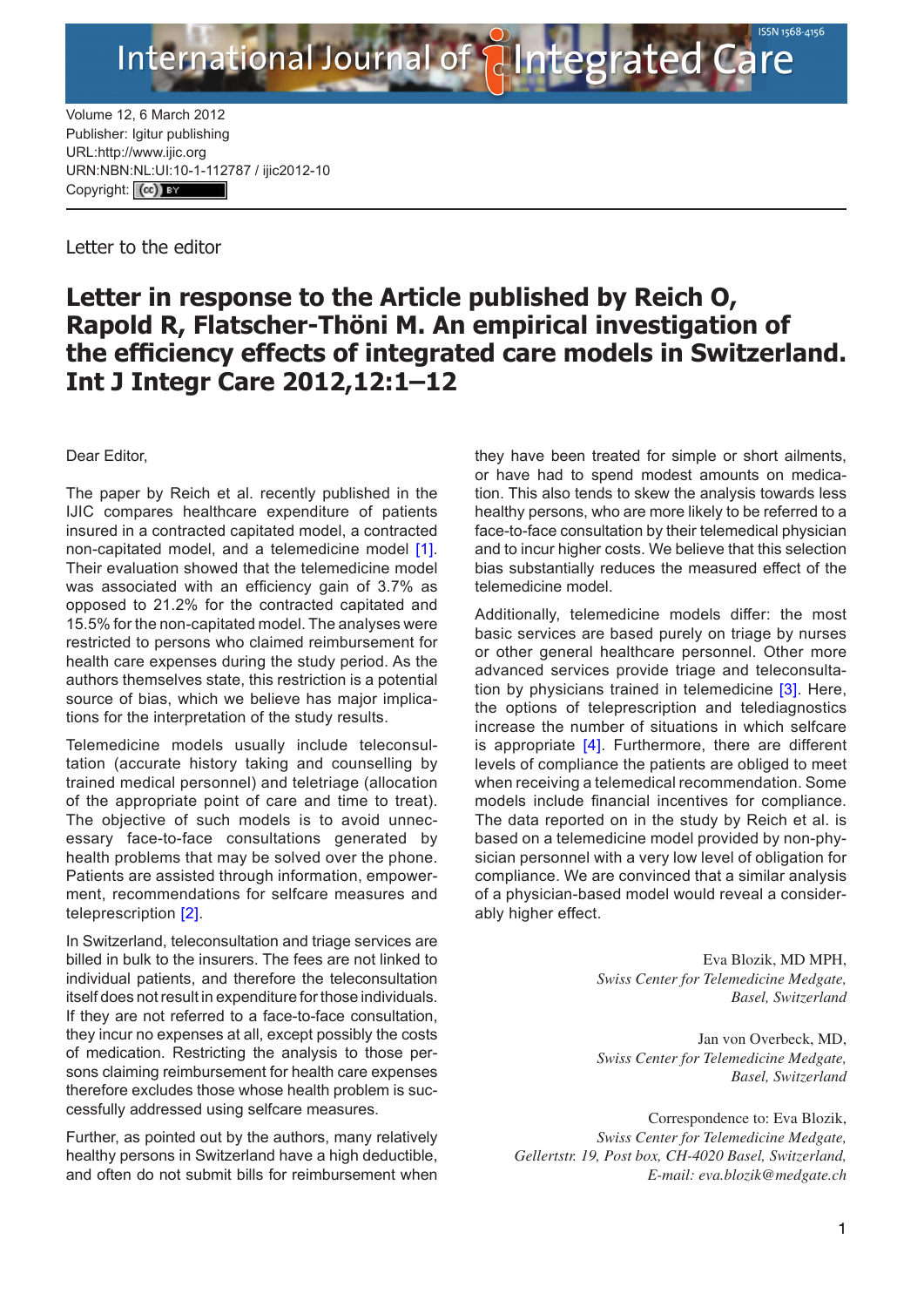Volume 12, 6 March 2012 Publisher: Igitur publishing URL[:http://www.ijic.org](http://www.ijic.org) URN:NBN[:NL:UI:10-1-1127](http://creativecommons.org/licenses/by/3.0/)87 / ijic2012-10 Copyright: (cc)

**International Journal of** 

Letter to the editor

## **Letter in response to the Article published by Reich O, Rapold R, Flatscher-Thöni M. An empirical investigation of the efficiency effects of integrated care models in Switzerland. Int J Integr Care 2012,12:1–12**

Dear Editor,

The paper by Reich et al. recently published in the IJIC compares healthcare expenditure of patients insured in a contracted capitated model, a contracted non-capitated model, and a telemedicine model [[1](#page-1-0)]. Their evaluation showed that the telemedicine model was associated with an efficiency gain of 3.7% as opposed to 21.2% for the contracted capitated and 15.5% for the non-capitated model. The analyses were restricted to persons who claimed reimbursement for health care expenses during the study period. As the authors themselves state, this restriction is a potential source of bias, which we believe has major implications for the interpretation of the study results.

Telemedicine models usually include teleconsultation (accurate history taking and counselling by trained medical personnel) and teletriage (allocation of the appropriate point of care and time to treat). The objective of such models is to avoid unnecessary face-to-face consultations generated by health problems that may be solved over the phone. Patients are assisted through information, empowerment, recommendations for selfcare measures and teleprescription [\[2](#page-1-0)].

In Switzerland, teleconsultation and triage services are billed in bulk to the insurers. The fees are not linked to individual patients, and therefore the teleconsultation itself does not result in expenditure for those individuals. If they are not referred to a face-to-face consultation, they incur no expenses at all, except possibly the costs of medication. Restricting the analysis to those persons claiming reimbursement for health care expenses therefore excludes those whose health problem is successfully addressed using selfcare measures.

Further, as pointed out by the authors, many relatively healthy persons in Switzerland have a high deductible, and often do not submit bills for reimbursement when they have been treated for simple or short ailments, or have had to spend modest amounts on medication. This also tends to skew the analysis towards less healthy persons, who are more likely to be referred to a face-to-face consultation by their telemedical physician and to incur higher costs. We believe that this selection bias substantially reduces the measured effect of the telemedicine model.

tegrated Care

Additionally, telemedicine models differ: the most basic services are based purely on triage by nurses or other general healthcare personnel. Other more advanced services provide triage and teleconsulta-tion by physicians trained in telemedicine [\[3\]](#page-1-0). Here, the options of teleprescription and telediagnostics increase the number of situations in which selfcare is appropriate [[4\]](#page-1-0). Furthermore, there are different levels of compliance the patients are obliged to meet when receiving a telemedical recommendation. Some models include financial incentives for compliance. The data reported on in the study by Reich et al. is based on a telemedicine model provided by non-physician personnel with a very low level of obligation for compliance. We are convinced that a similar analysis of a physician-based model would reveal a considerably higher effect.

> Eva Blozik, MD MPH, *Swiss Center for Telemedicine Medgate, Basel, Switzerland*

> Jan von Overbeck, MD, *Swiss Center for Telemedicine Medgate, Basel, Switzerland*

Correspondence to: Eva Blozik, *Swiss Center for Telemedicine Medgate, Gellertstr. 19, Post box, CH-4020 Basel, Switzerland, E-mail: [eva.blozik@medgate.ch](mailto:eva.blozik@medgate.ch)*